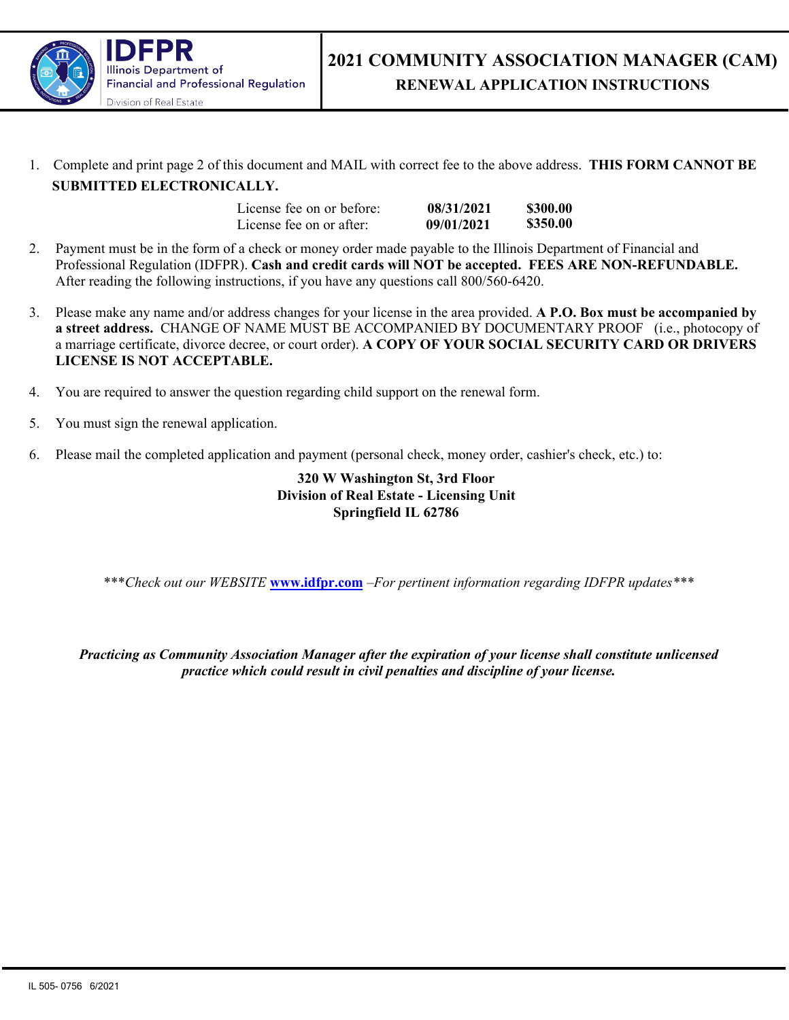

1. Complete and print page 2 of this document and MAIL with correct fee to the above address. **THIS FORM CANNOT BE SUBMITTED ELECTRONICALLY.**

| License fee on or before: | 08/31/2021 | \$300.00 |
|---------------------------|------------|----------|
| License fee on or after:  | 09/01/2021 | \$350.00 |

- 2. Payment must be in the form of a check or money order made payable to the Illinois Department of Financial and Professional Regulation (IDFPR). **Cash and credit cards will NOT be accepted. FEES ARE NON-REFUNDABLE.**  After reading the following instructions, if you have any questions call 800/560-6420.
- 3. Please make any name and/or address changes for your license in the area provided. **A P.O. Box must be accompanied by a street address.** CHANGE OF NAME MUST BE ACCOMPANIED BY DOCUMENTARY PROOF (i.e., photocopy of a marriage certificate, divorce decree, or court order). **A COPY OF YOUR SOCIAL SECURITY CARD OR DRIVERS LICENSE IS NOT ACCEPTABLE.**
- 4. You are required to answer the question regarding child support on the renewal form.
- 5. You must sign the renewal application.
- 6. Please mail the completed application and payment (personal check, money order, cashier's check, etc.) to:

## **320 W Washington St, 3rd Floor Division of Real Estate - Licensing Unit Springfield IL 62786**

\*\*\**Check out our WEBSITE* **www.idfpr.com** *–For pertinent information regarding IDFPR updates\*\*\** 

*Practicing as Community Association Manager after the expiration of your license shall constitute unlicensed practice which could result in civil penalties and discipline of your license.*